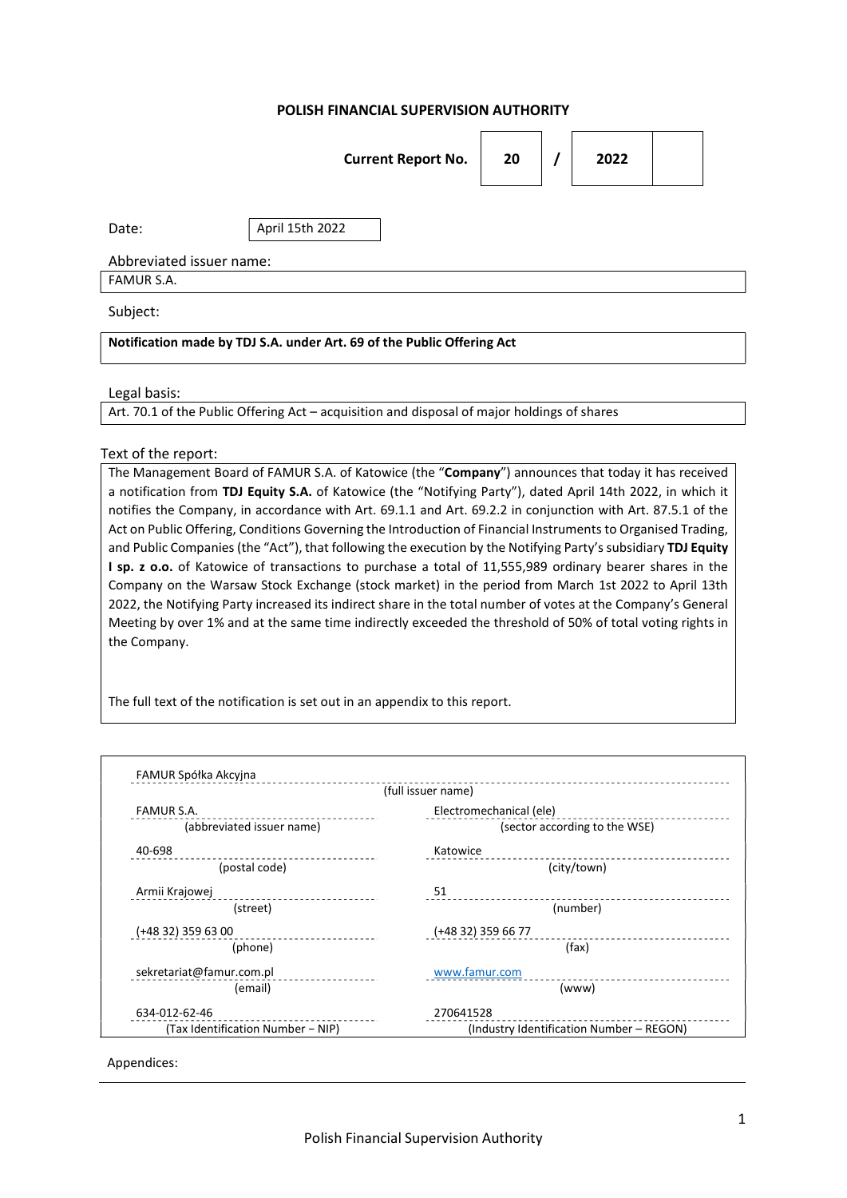### POLISH FINANCIAL SUPERVISION AUTHORITY

|                                                                        | <b>Current Report No.</b> | 20 |  | 2022 |  |  |
|------------------------------------------------------------------------|---------------------------|----|--|------|--|--|
| Date:                                                                  | April 15th 2022           |    |  |      |  |  |
| Abbreviated issuer name:                                               |                           |    |  |      |  |  |
| FAMUR S.A.                                                             |                           |    |  |      |  |  |
| Subject:                                                               |                           |    |  |      |  |  |
| Notification made by TDJ S.A. under Art. 69 of the Public Offering Act |                           |    |  |      |  |  |

Legal basis:

Art. 70.1 of the Public Offering Act – acquisition and disposal of major holdings of shares

#### Text of the report:

The Management Board of FAMUR S.A. of Katowice (the "Company") announces that today it has received a notification from TDJ Equity S.A. of Katowice (the "Notifying Party"), dated April 14th 2022, in which it notifies the Company, in accordance with Art. 69.1.1 and Art. 69.2.2 in conjunction with Art. 87.5.1 of the Act on Public Offering, Conditions Governing the Introduction of Financial Instruments to Organised Trading, and Public Companies (the "Act"), that following the execution by the Notifying Party's subsidiary TDJ Equity I sp. z o.o. of Katowice of transactions to purchase a total of 11,555,989 ordinary bearer shares in the Company on the Warsaw Stock Exchange (stock market) in the period from March 1st 2022 to April 13th 2022, the Notifying Party increased its indirect share in the total number of votes at the Company's General Meeting by over 1% and at the same time indirectly exceeded the threshold of 50% of total voting rights in the Company.

The full text of the notification is set out in an appendix to this report.

|                                   | (full issuer name)                       |  |  |
|-----------------------------------|------------------------------------------|--|--|
| <b>FAMUR S.A.</b>                 | Electromechanical (ele)                  |  |  |
| (abbreviated issuer name)         | (sector according to the WSE)            |  |  |
| 40-698                            | Katowice                                 |  |  |
| (postal code)                     | (city/town)                              |  |  |
| Armii Krajowej                    | 51                                       |  |  |
| (street)                          | (number)                                 |  |  |
| (+48 32) 359 63 00                | (+48 32) 359 66 77                       |  |  |
| (phone)                           | (fax)                                    |  |  |
| sekretariat@famur.com.pl          | www.famur.com                            |  |  |
| (email)                           | (www)                                    |  |  |
| 634-012-62-46                     | 270641528                                |  |  |
| (Tax Identification Number - NIP) | (Industry Identification Number - REGON) |  |  |

Appendices: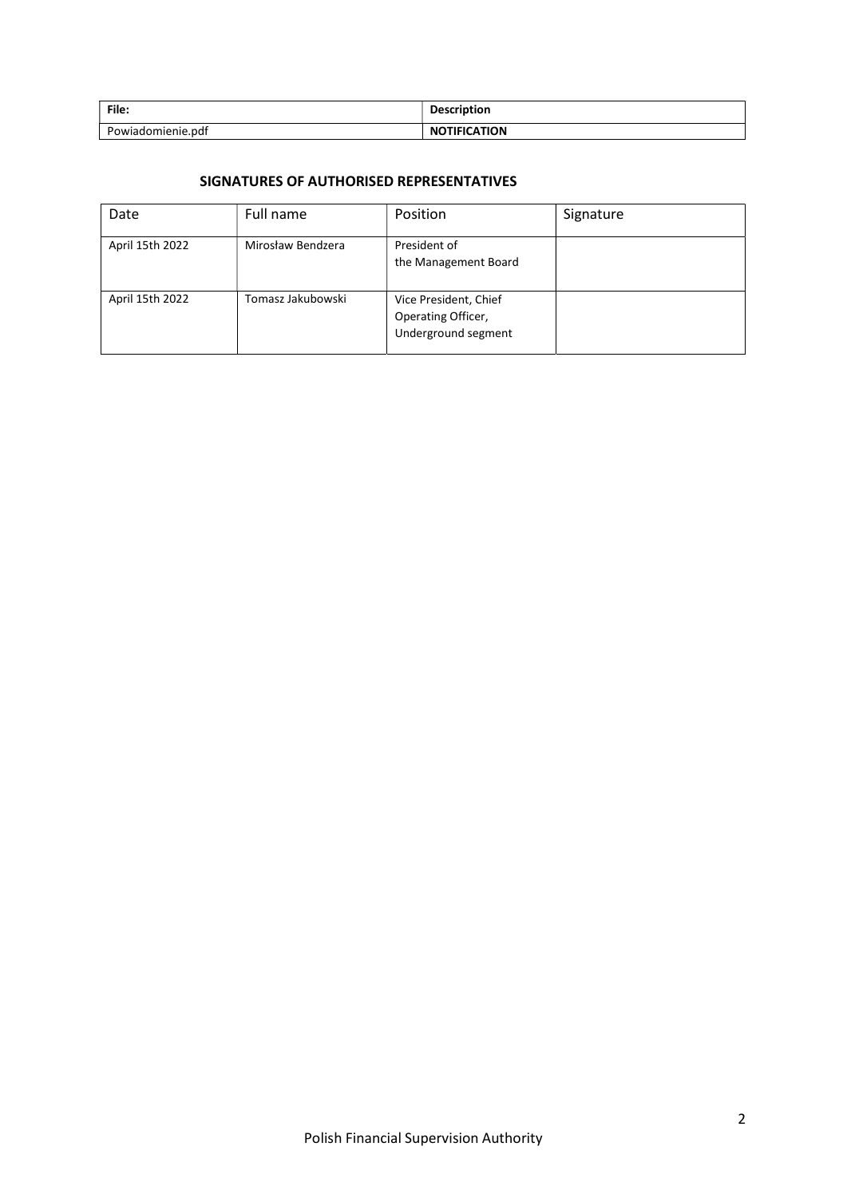| File:             | <b>Description</b>      |
|-------------------|-------------------------|
| Powiadomienie.pdf | <b>TIFICATION</b><br>N0 |

# SIGNATURES OF AUTHORISED REPRESENTATIVES

| Date            | Full name         | Position                                                           | Signature |
|-----------------|-------------------|--------------------------------------------------------------------|-----------|
| April 15th 2022 | Mirosław Bendzera | President of<br>the Management Board                               |           |
| April 15th 2022 | Tomasz Jakubowski | Vice President, Chief<br>Operating Officer,<br>Underground segment |           |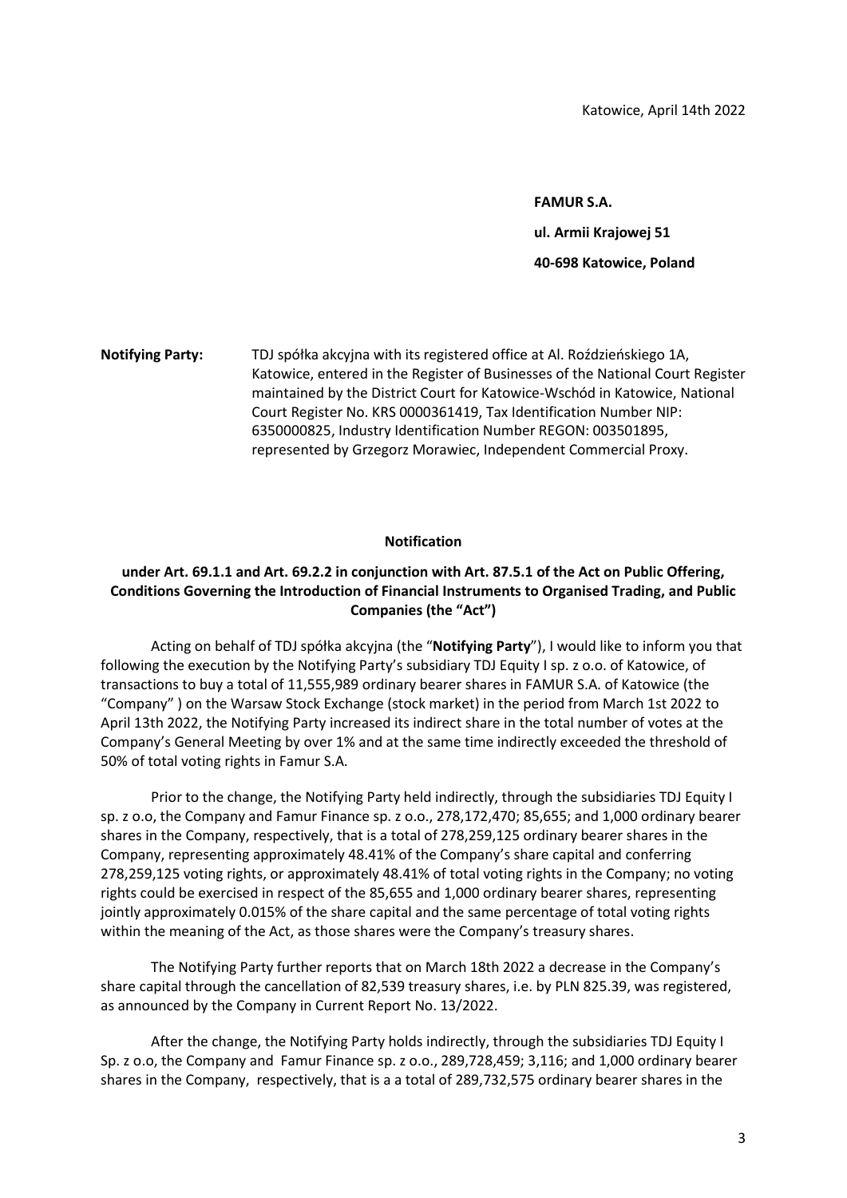FAMUR S.A. ul. Armii Krajowej 51 40-698 Katowice, Poland

Notifying Party: TDJ spółka akcyjna with its registered office at Al. Roździeńskiego 1A, Katowice, entered in the Register of Businesses of the National Court Register maintained by the District Court for Katowice-Wschód in Katowice, National Court Register No. KRS 0000361419, Tax Identification Number NIP: 6350000825, Industry Identification Number REGON: 003501895, represented by Grzegorz Morawiec, Independent Commercial Proxy.

## Notification

## under Art. 69.1.1 and Art. 69.2.2 in conjunction with Art. 87.5.1 of the Act on Public Offering, Conditions Governing the Introduction of Financial Instruments to Organised Trading, and Public Companies (the "Act")

Acting on behalf of TDJ spółka akcyjna (the "Notifying Party"), I would like to inform you that following the execution by the Notifying Party's subsidiary TDJ Equity I sp. z o.o. of Katowice, of transactions to buy a total of 11,555,989 ordinary bearer shares in FAMUR S.A. of Katowice (the "Company" ) on the Warsaw Stock Exchange (stock market) in the period from March 1st 2022 to April 13th 2022, the Notifying Party increased its indirect share in the total number of votes at the Company's General Meeting by over 1% and at the same time indirectly exceeded the threshold of 50% of total voting rights in Famur S.A.

Prior to the change, the Notifying Party held indirectly, through the subsidiaries TDJ Equity I sp. z o.o, the Company and Famur Finance sp. z o.o., 278,172,470; 85,655; and 1,000 ordinary bearer shares in the Company, respectively, that is a total of 278,259,125 ordinary bearer shares in the Company, representing approximately 48.41% of the Company's share capital and conferring 278,259,125 voting rights, or approximately 48.41% of total voting rights in the Company; no voting rights could be exercised in respect of the 85,655 and 1,000 ordinary bearer shares, representing jointly approximately 0.015% of the share capital and the same percentage of total voting rights within the meaning of the Act, as those shares were the Company's treasury shares.

The Notifying Party further reports that on March 18th 2022 a decrease in the Company's share capital through the cancellation of 82,539 treasury shares, i.e. by PLN 825.39, was registered, as announced by the Company in Current Report No. 13/2022.

After the change, the Notifying Party holds indirectly, through the subsidiaries TDJ Equity I Sp. z o.o, the Company and Famur Finance sp. z o.o., 289,728,459; 3,116; and 1,000 ordinary bearer shares in the Company, respectively, that is a a total of 289,732,575 ordinary bearer shares in the